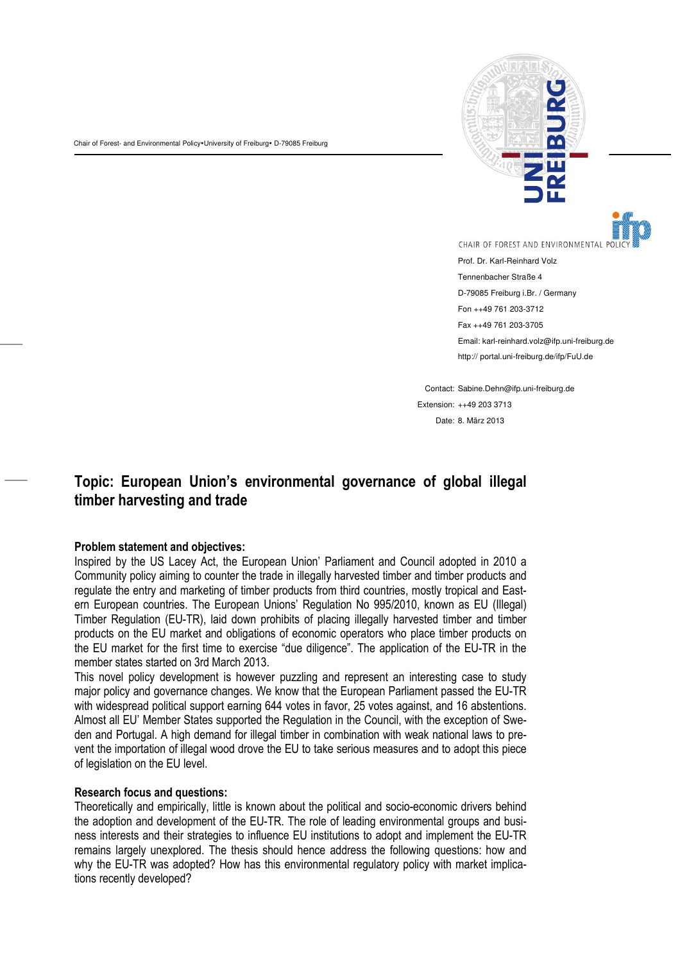Chair of Forest- and Environmental Policy. University of Freiburg. D-79085 Freiburg



CHAIR OF FOREST AND ENVIRONMENTAL

Prof. Dr. Karl-Reinhard Volz Tennenbacher Straße 4 D-79085 Freiburg i.Br. / Germany Fon ++49 761 203-3712 Fax ++49 761 203-3705 Email: karl-reinhard.volz@ifp.uni-freiburg.de http:// portal.uni-freiburg.de/ifp/FuU.de

Contact: Sabine.Dehn@ifp.uni-freiburg.de Extension: ++49 203 3713 Date: 8. März 2013

## Topic: European Union's environmental governance of global illegal timber harvesting and trade

## Problem statement and objectives:

——

——

Inspired by the US Lacey Act, the European Union' Parliament and Council adopted in 2010 a Community policy aiming to counter the trade in illegally harvested timber and timber products and regulate the entry and marketing of timber products from third countries, mostly tropical and Eastern European countries. The European Unions' Regulation No 995/2010, known as EU (Illegal) Timber Regulation (EU-TR), laid down prohibits of placing illegally harvested timber and timber products on the EU market and obligations of economic operators who place timber products on the EU market for the first time to exercise "due diligence". The application of the EU-TR in the member states started on 3rd March 2013.

This novel policy development is however puzzling and represent an interesting case to study major policy and governance changes. We know that the European Parliament passed the EU-TR with widespread political support earning 644 votes in favor, 25 votes against, and 16 abstentions. Almost all EU' Member States supported the Regulation in the Council, with the exception of Sweden and Portugal. A high demand for illegal timber in combination with weak national laws to prevent the importation of illegal wood drove the EU to take serious measures and to adopt this piece of legislation on the EU level.

## Research focus and questions:

Theoretically and empirically, little is known about the political and socio-economic drivers behind the adoption and development of the EU-TR. The role of leading environmental groups and business interests and their strategies to influence EU institutions to adopt and implement the EU-TR remains largely unexplored. The thesis should hence address the following questions: how and why the EU-TR was adopted? How has this environmental regulatory policy with market implications recently developed?